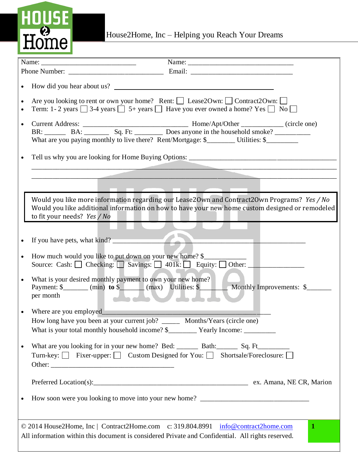## HOUSE<br>Home

House2Home, Inc - Helping you Reach Your Dreams

|                        | How did you hear about us?                                                                                                                                                                                                    |  |  |  |  |  |
|------------------------|-------------------------------------------------------------------------------------------------------------------------------------------------------------------------------------------------------------------------------|--|--|--|--|--|
| $\bullet$<br>$\bullet$ | Are you looking to rent or own your home? Rent: [ Lease2Own: L Contract2Own: L<br>Term: 1-2 years $\Box$ 3-4 years $\Box$ 5+ years $\Box$ Have you ever owned a home? Yes $\Box$ No $\Box$                                    |  |  |  |  |  |
| $\bullet$              | What are you paying monthly to live there? Rent/Mortgage: \$_______ Utilities: \$_______                                                                                                                                      |  |  |  |  |  |
|                        | Tell us why you are looking for Home Buying Options: ____________________________                                                                                                                                             |  |  |  |  |  |
|                        |                                                                                                                                                                                                                               |  |  |  |  |  |
|                        | Would you like more information regarding our Lease20wn and Contract20wn Programs? Yes / No<br>Would you like additional information on how to have your new home custom designed or remodeled<br>to fit your needs? Yes / No |  |  |  |  |  |
|                        |                                                                                                                                                                                                                               |  |  |  |  |  |
|                        | If you have pets, what kind?                                                                                                                                                                                                  |  |  |  |  |  |
| $\bullet$              | How much would you like to put down on your new home? \$<br>Source: Cash: C Checking: Savings: 1401k: Equity: Other: 1                                                                                                        |  |  |  |  |  |
|                        | What is your desired monthly payment to own your new home?<br>Payment: $\frac{\gamma}{\gamma}$ (min) to $\frac{\gamma}{\gamma}$ (max) Utilities: $\frac{\gamma}{\gamma}$<br>Monthly Improvements: \$<br>per month             |  |  |  |  |  |
|                        | Where are you employed                                                                                                                                                                                                        |  |  |  |  |  |
|                        | How long have you been at your current job? ________ Months/Years (circle one)                                                                                                                                                |  |  |  |  |  |
| $\bullet$              | What are you looking for in your new home? Bed: _______ Bath: ______ Sq. Ft__________<br>Turn-key: Fixer-upper: Custom Designed for You: Shortsale/Foreclosure: $\square$                                                     |  |  |  |  |  |
|                        |                                                                                                                                                                                                                               |  |  |  |  |  |
| $\bullet$              |                                                                                                                                                                                                                               |  |  |  |  |  |
|                        | $\mathbf{1}$<br>© 2014 House2Home, Inc   Contract2Home.com c: 319.804.8991 info@contract2home.com<br>All information within this document is considered Private and Confidential. All rights reserved.                        |  |  |  |  |  |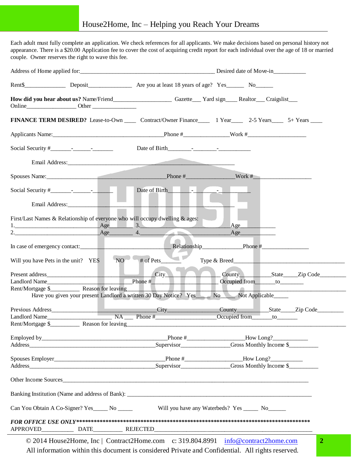Each adult must fully complete an application. We check references for all applicants. We make decisions based on personal history not appearance. There is a \$20.00 Application fee to cover the cost of acquiring credit report for each individual over the age of 18 or married couple. Owner reserves the right to wave this fee.

|                  |                                                                              |                          | How did you hear about us? Name/Friend____________________Gazette___Yard sign___Realtor__Craigslist___                                                                                                                                                                               |  |  |
|------------------|------------------------------------------------------------------------------|--------------------------|--------------------------------------------------------------------------------------------------------------------------------------------------------------------------------------------------------------------------------------------------------------------------------------|--|--|
|                  |                                                                              |                          | FINANCE TERM DESIRED? Lease-to-Own _______ Contract/Owner Finance ________ 1 Year ________ 2-5 Years ________ 5+ Years _____                                                                                                                                                         |  |  |
|                  |                                                                              |                          |                                                                                                                                                                                                                                                                                      |  |  |
|                  |                                                                              |                          |                                                                                                                                                                                                                                                                                      |  |  |
|                  |                                                                              |                          |                                                                                                                                                                                                                                                                                      |  |  |
|                  |                                                                              |                          |                                                                                                                                                                                                                                                                                      |  |  |
|                  |                                                                              | Date of Birth Figure 1.  |                                                                                                                                                                                                                                                                                      |  |  |
|                  |                                                                              |                          |                                                                                                                                                                                                                                                                                      |  |  |
|                  | First/Last Names & Relationship of everyone who will occupy dwelling & ages: |                          |                                                                                                                                                                                                                                                                                      |  |  |
|                  | $2.$ Age 4.                                                                  | 1. <u>Age</u> 3.<br>25 S | $A$ ge<br>$\_\text{Age}\_\text{Age}$                                                                                                                                                                                                                                                 |  |  |
|                  |                                                                              |                          |                                                                                                                                                                                                                                                                                      |  |  |
|                  | Will you have Pets in the unit? YES<br>NO <sup>-</sup>                       | # of Pets                |                                                                                                                                                                                                                                                                                      |  |  |
| Landlord Name    |                                                                              |                          | County State Zip Code                                                                                                                                                                                                                                                                |  |  |
|                  |                                                                              |                          | <u> 1 - A - I</u><br>Have you given your present Landlord a written 30 Day Notice? Yes No No Not Applicable                                                                                                                                                                          |  |  |
|                  |                                                                              |                          |                                                                                                                                                                                                                                                                                      |  |  |
|                  | Landlord Name                                                                |                          | $NA$ Phone $\#$ $O$ ccupied from to                                                                                                                                                                                                                                                  |  |  |
| Rent/Mortgage \$ | Reason for leaving                                                           |                          |                                                                                                                                                                                                                                                                                      |  |  |
|                  |                                                                              |                          | $\frac{1}{2}$ Phone # $\frac{1}{2}$ Phone = $\frac{1}{2}$ Phone = $\frac{1}{2}$ Phone = $\frac{1}{2}$ Phone = $\frac{1}{2}$ Phone = $\frac{1}{2}$ Phone = $\frac{1}{2}$ Phone = $\frac{1}{2}$ Phone = $\frac{1}{2}$ Phone = $\frac{1}{2}$ Phone = $\frac{1}{2}$ Phone = $\frac{1}{2$ |  |  |
|                  |                                                                              |                          | Supervisor<br>Gross Monthly Income \$                                                                                                                                                                                                                                                |  |  |
|                  |                                                                              |                          |                                                                                                                                                                                                                                                                                      |  |  |
|                  |                                                                              |                          | Address Supervisor Gross Monthly Income \$                                                                                                                                                                                                                                           |  |  |
|                  |                                                                              | Other Income Sources     |                                                                                                                                                                                                                                                                                      |  |  |
|                  |                                                                              |                          |                                                                                                                                                                                                                                                                                      |  |  |
|                  | Can You Obtain A Co-Signer? Yes No No                                        |                          | Will you have any Waterbeds? Yes _______ No________                                                                                                                                                                                                                                  |  |  |
| <b>APPROVED</b>  |                                                                              |                          |                                                                                                                                                                                                                                                                                      |  |  |
|                  |                                                                              |                          | $\overline{2}$<br>© 2014 House2Home, Inc   Contract2Home.com c: 319.804.8991 info@contract2home.com                                                                                                                                                                                  |  |  |

© 2014 House2Home, Inc | Contract2Home.com c: 319.804.8991 [info@contract2home.com](mailto:info@contract2home.com) All information within this document is considered Private and Confidential. All rights reserved.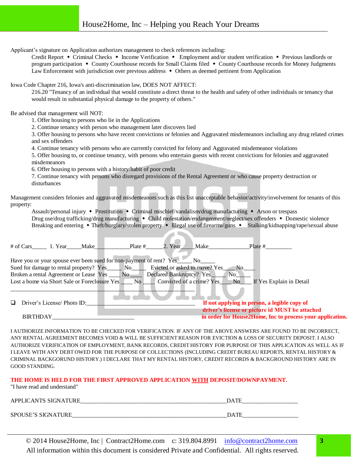Applicant's signature on Application authorizes management to check references including:

Credit Report • Criminal Checks • Income Verification • Employment and/or student verification • Previous landlords or program participation • County Courthouse records for Small Claims filed • County Courthouse records for Money Judgments Law Enforcement with jurisdiction over previous address  $\bullet$  Others as deemed pertinent from Application

Iowa Code Chapter 216, Iowa's anti-discrimination law, DOES NOT AFFECT:

216.20 "Tenancy of an individual that would constitute a direct threat to the health and safety of other individuals or tenancy that would result in substantial physical damage to the property of others."

Be advised that management will NOT:

1. Offer housing to persons who lie in the Applications

2. Continue tenancy with person who management later discovers lied

3. Offer housing to persons who have recent convictions or felonies and Aggravated misdemeanors including any drug related crimes and sex offenders

4. Continue tenancy with persons who are currently convicted for felony and Aggravated misdemeanor violations

5. Offer housing to, or continue tenancy, with persons who entertain guests with recent convictions for felonies and aggravated misdemeanors

6. Offer housing to persons with a history/habit of poor credit

7. Continue tenancy with persons who disregard provisions of the Rental Agreement or who cause property destruction or disturbances

Management considers felonies and aggravated misdemeanors such as this list unacceptable behavior/activity/involvement for tenants of this property:

Assault/personal injury  $\bullet$  Prostitution  $\bullet$  Criminal mischief/vandalism/drug manufacturing  $\bullet$  Arson or trespass Drug use/drug trafficking/drug manufacturing • Child molestation/endangerment/neglect/sex offenders • Domestic violence Breaking and entering • Theft/burglary/stolen property • Illegal use of firearms/guns • Stalking/kidnapping/rape/sexual abuse

|   | $#$ of Cars 1. Year |                             | Make                                                                                               | Plate $#$                                                           | 2. Year                                                   | Make                      | Plate #                                                                                         |                          |  |
|---|---------------------|-----------------------------|----------------------------------------------------------------------------------------------------|---------------------------------------------------------------------|-----------------------------------------------------------|---------------------------|-------------------------------------------------------------------------------------------------|--------------------------|--|
|   |                     |                             | Sued for damage to rental property? Yes_______ No____<br>Broken a rental Agreement or Lease Yes No | Have you or your spouse ever been sued for non-payment of rent? Yes | Evicted or asked to move? Yes<br>Declared Bankruptcy? Yes | No no                     | No.<br>N <sub>o</sub>                                                                           |                          |  |
|   |                     |                             | Lost a home via Short Sale or Foreclosure Yes                                                      | $\mathbf{N}\mathbf{o}$                                              |                                                           | Convicted of a crime? Yes | N <sub>o</sub>                                                                                  | If Yes Explain in Detail |  |
| □ |                     | Driver's License/ Photo ID: |                                                                                                    |                                                                     |                                                           |                           | If not applying in person, a legible copy of<br>driver's license or picture id MUST be attached |                          |  |
|   | <b>BIRTHDAY</b>     |                             |                                                                                                    |                                                                     |                                                           |                           | in order for House2Home, Inc to process your application.                                       |                          |  |

I AUTHORIZE INFORMATION TO BE CHECKED FOR VERIFICATION. IF ANY OF THE ABOVE ANSWERS ARE FOUND TO BE INCORRECT, ANY RENTAL AGREEMENT BECOMES VOID & WILL BE SUFFICIENT REASON FOR EVICTION & LOSS OF SECURITY DEPOSIT. I ALSO AUTHORIZE VERIFICATION OF EMPLOYMENT, BANK RECORDS, CREDIT HISTORY FOR PURPOSE OF THIS APPLICATION AS WELL AS IF I LEAVE WITH ANY DEBT OWED FOR THE PURPOSE OF COLLECTIONS (INCLUDING CREDIT BUREAU REPORTS, RENTAL HISTORY & CRIMINAL BACKGORUND HISTORY.) I DECLARE THAT MY RENTAL HISTORY, CREDIT RECORDS & BACKGROUND HISTORY ARE IN GOOD STANDING.

## **THE HOME IS HELD FOR THE FIRST APPROVED APPLICATION WITH DEPOSIT/DOWNPAYMENT.**

"I have read and understand"

| APPLICANTS SIGNATURE      | DATE        |
|---------------------------|-------------|
| <b>SPOUSE'S SIGNATURE</b> | <b>DATE</b> |

© 2014 House2Home, Inc | Contract2Home.com c: 319.804.8991 [info@contract2home.com](mailto:info@contract2home.com) All information within this document is considered Private and Confidential. All rights reserved.